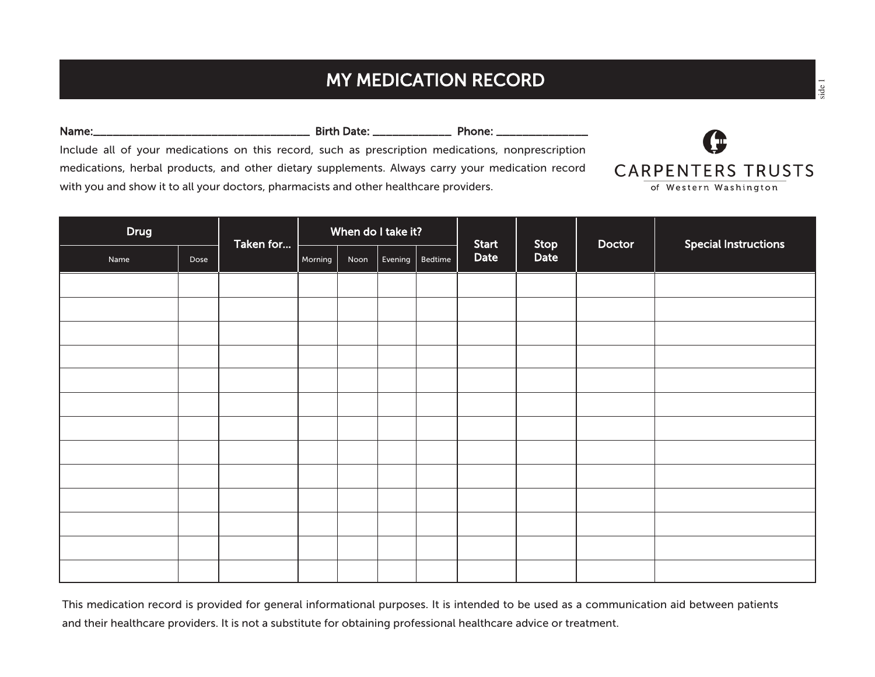## MY MEDICATION RECORD

| Name:                                                                                             | <b>Birth Date:</b> The Samuel Science of the Science of the Science of the Science of the Science of the Science of the Science of the Science of the Science of the Science of the Science of the Science of the Science of the Sc | Phone: The Phone of the Second Second Second Second Second Second Second Second Second Second Second Second Se |                          |
|---------------------------------------------------------------------------------------------------|-------------------------------------------------------------------------------------------------------------------------------------------------------------------------------------------------------------------------------------|----------------------------------------------------------------------------------------------------------------|--------------------------|
| Include all of your medications on this record, such as prescription medications, nonprescription |                                                                                                                                                                                                                                     |                                                                                                                |                          |
| medications, herbal products, and other dietary supplements. Always carry your medication record  |                                                                                                                                                                                                                                     |                                                                                                                | <b>CARPENTERS TRUSTS</b> |
| with you and show it to all your doctors, pharmacists and other healthcare providers.             |                                                                                                                                                                                                                                     |                                                                                                                | of Western Washington    |

| <b>Drug</b> |      | Taken for |         | When do I take it?<br>Stop<br><b>Start</b> |         |         | <b>Special Instructions</b><br>Doctor |      |  |  |
|-------------|------|-----------|---------|--------------------------------------------|---------|---------|---------------------------------------|------|--|--|
| Name        | Dose |           | Morning | Noon                                       | Evening | Bedtime | Date                                  | Date |  |  |
|             |      |           |         |                                            |         |         |                                       |      |  |  |
|             |      |           |         |                                            |         |         |                                       |      |  |  |
|             |      |           |         |                                            |         |         |                                       |      |  |  |
|             |      |           |         |                                            |         |         |                                       |      |  |  |
|             |      |           |         |                                            |         |         |                                       |      |  |  |
|             |      |           |         |                                            |         |         |                                       |      |  |  |
|             |      |           |         |                                            |         |         |                                       |      |  |  |
|             |      |           |         |                                            |         |         |                                       |      |  |  |
|             |      |           |         |                                            |         |         |                                       |      |  |  |
|             |      |           |         |                                            |         |         |                                       |      |  |  |
|             |      |           |         |                                            |         |         |                                       |      |  |  |
|             |      |           |         |                                            |         |         |                                       |      |  |  |
|             |      |           |         |                                            |         |         |                                       |      |  |  |

This medication record is provided for general informational purposes. It is intended to be used as a communication aid between patients and their healthcare providers. It is not a substitute for obtaining professional healthcare advice or treatment.